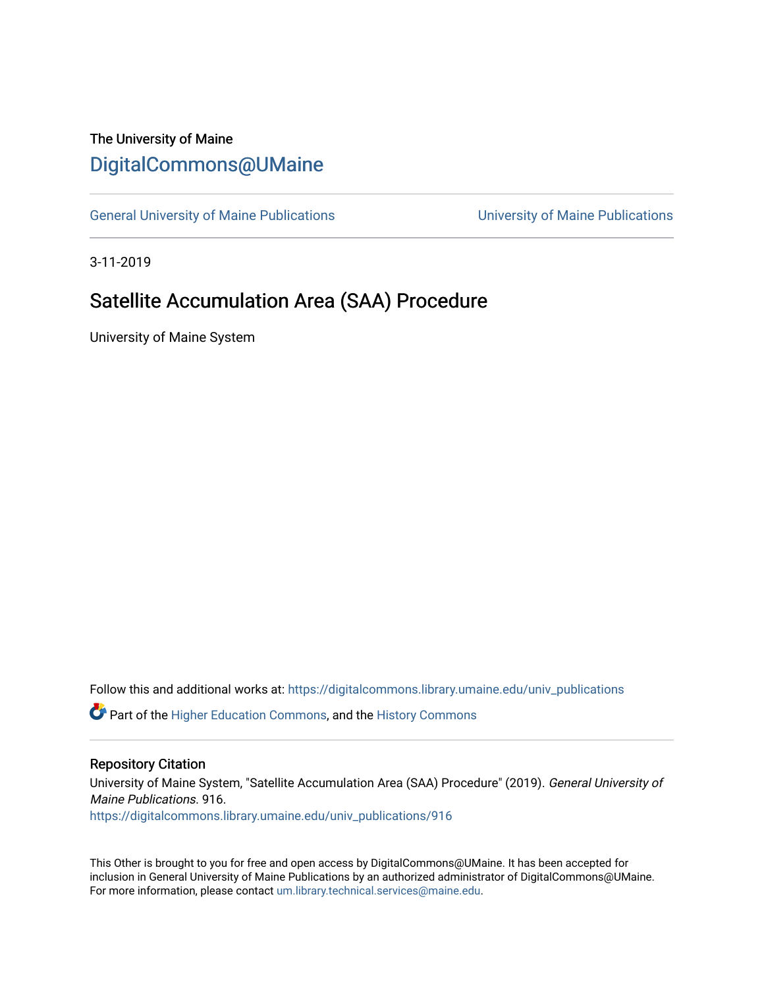## The University of Maine [DigitalCommons@UMaine](https://digitalcommons.library.umaine.edu/)

[General University of Maine Publications](https://digitalcommons.library.umaine.edu/univ_publications) [University of Maine Publications](https://digitalcommons.library.umaine.edu/umaine_publications) 

3-11-2019

# Satellite Accumulation Area (SAA) Procedure

University of Maine System

Follow this and additional works at: [https://digitalcommons.library.umaine.edu/univ\\_publications](https://digitalcommons.library.umaine.edu/univ_publications?utm_source=digitalcommons.library.umaine.edu%2Funiv_publications%2F916&utm_medium=PDF&utm_campaign=PDFCoverPages) 

**C** Part of the [Higher Education Commons,](http://network.bepress.com/hgg/discipline/1245?utm_source=digitalcommons.library.umaine.edu%2Funiv_publications%2F916&utm_medium=PDF&utm_campaign=PDFCoverPages) and the [History Commons](http://network.bepress.com/hgg/discipline/489?utm_source=digitalcommons.library.umaine.edu%2Funiv_publications%2F916&utm_medium=PDF&utm_campaign=PDFCoverPages)

#### Repository Citation

University of Maine System, "Satellite Accumulation Area (SAA) Procedure" (2019). General University of Maine Publications. 916.

[https://digitalcommons.library.umaine.edu/univ\\_publications/916](https://digitalcommons.library.umaine.edu/univ_publications/916?utm_source=digitalcommons.library.umaine.edu%2Funiv_publications%2F916&utm_medium=PDF&utm_campaign=PDFCoverPages) 

This Other is brought to you for free and open access by DigitalCommons@UMaine. It has been accepted for inclusion in General University of Maine Publications by an authorized administrator of DigitalCommons@UMaine. For more information, please contact [um.library.technical.services@maine.edu](mailto:um.library.technical.services@maine.edu).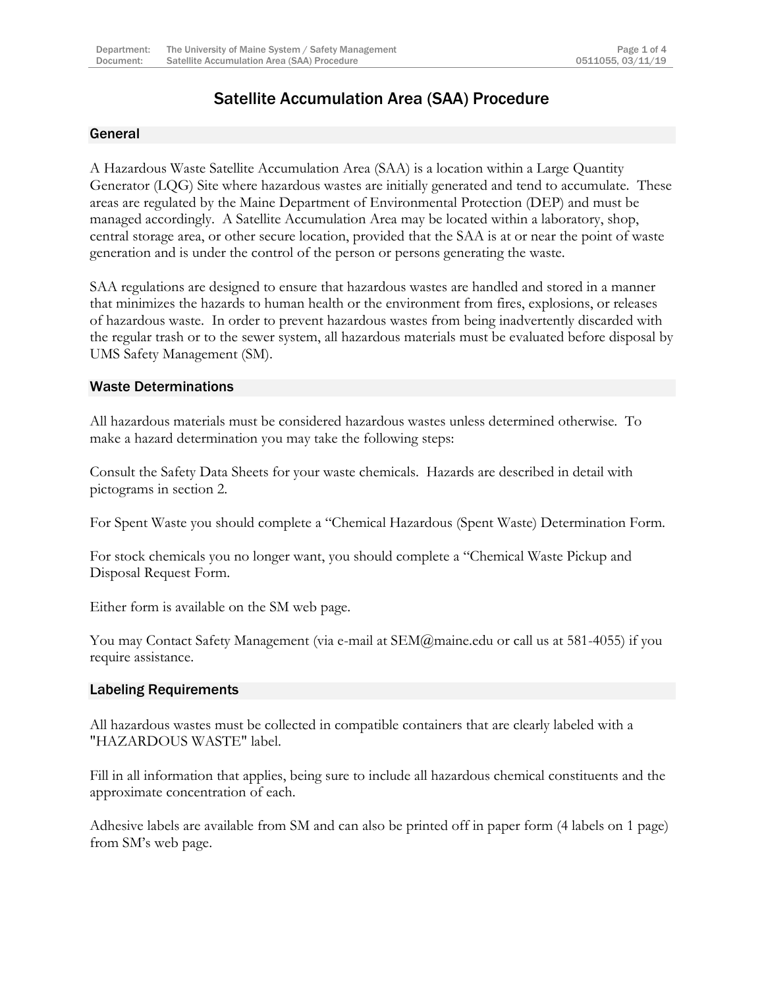## Satellite Accumulation Area (SAA) Procedure

## General

A Hazardous Waste Satellite Accumulation Area (SAA) is a location within a Large Quantity Generator (LQG) Site where hazardous wastes are initially generated and tend to accumulate. These areas are regulated by the Maine Department of Environmental Protection (DEP) and must be managed accordingly. A Satellite Accumulation Area may be located within a laboratory, shop, central storage area, or other secure location, provided that the SAA is at or near the point of waste generation and is under the control of the person or persons generating the waste.

SAA regulations are designed to ensure that hazardous wastes are handled and stored in a manner that minimizes the hazards to human health or the environment from fires, explosions, or releases of hazardous waste. In order to prevent hazardous wastes from being inadvertently discarded with the regular trash or to the sewer system, all hazardous materials must be evaluated before disposal by UMS Safety Management (SM).

## Waste Determinations

All hazardous materials must be considered hazardous wastes unless determined otherwise. To make a hazard determination you may take the following steps:

Consult the Safety Data Sheets for your waste chemicals. Hazards are described in detail with pictograms in section 2.

For Spent Waste you should complete a "Chemical Hazardous (Spent Waste) Determination Form.

For stock chemicals you no longer want, you should complete a "Chemical Waste Pickup and Disposal Request Form.

Either form is available on the SM web page.

You may Contact Safety Management (via e-mail at SEM@maine.edu or call us at 581-4055) if you require assistance.

## Labeling Requirements

All hazardous wastes must be collected in compatible containers that are clearly labeled with a "HAZARDOUS WASTE" label.

Fill in all information that applies, being sure to include all hazardous chemical constituents and the approximate concentration of each.

Adhesive labels are available from SM and can also be printed off in paper form (4 labels on 1 page) from SM's web page.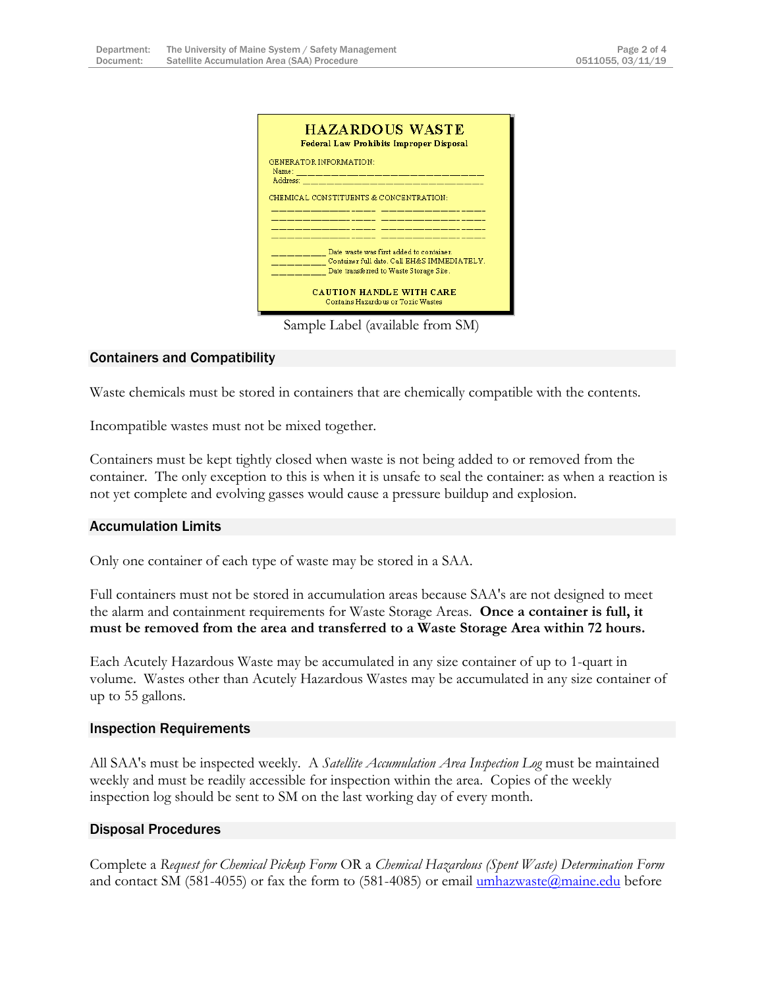| <b>HAZARDOUS WASTE</b><br>Federal Law Prohibits Improper Disposal                                                                                                         |
|---------------------------------------------------------------------------------------------------------------------------------------------------------------------------|
| GENERATOR INFORMATION:<br>Name: 2008.000 - 2008.000 - 2008.000 - 2008.000 - 2008.000 - 2008.000 - 2008.000 - 2008.000 - 2008.000 - 2008.<br>Address: ____________________ |
| CHEMICAL CONSTITUENTS & CONCENTRATION:                                                                                                                                    |
| Date waste was first added to container.<br>Container full date, Call EH&S IMMEDIATELY.<br>Date transferred to Waste Storage Site.                                        |
| <b>CAHTION HANDLE WITH CARE</b><br>Contains Hazardous or Toxic Wastes                                                                                                     |

Sample Label (available from SM)

## Containers and Compatibility

Waste chemicals must be stored in containers that are chemically compatible with the contents.

Incompatible wastes must not be mixed together.

Containers must be kept tightly closed when waste is not being added to or removed from the container. The only exception to this is when it is unsafe to seal the container: as when a reaction is not yet complete and evolving gasses would cause a pressure buildup and explosion.

#### Accumulation Limits

Only one container of each type of waste may be stored in a SAA.

Full containers must not be stored in accumulation areas because SAA's are not designed to meet the alarm and containment requirements for Waste Storage Areas. **Once a container is full, it must be removed from the area and transferred to a Waste Storage Area within 72 hours.**

Each Acutely Hazardous Waste may be accumulated in any size container of up to 1-quart in volume. Wastes other than Acutely Hazardous Wastes may be accumulated in any size container of up to 55 gallons.

#### Inspection Requirements

All SAA's must be inspected weekly. A *Satellite Accumulation Area Inspection Log* must be maintained weekly and must be readily accessible for inspection within the area. Copies of the weekly inspection log should be sent to SM on the last working day of every month.

## Disposal Procedures

Complete a *Request for Chemical Pickup Form* OR a *Chemical Hazardous (Spent Waste) Determination Form* and contact SM (581-4055) or fax the form to (581-4085) or email  $\frac{\text{umhazwaste}(\hat{\theta})}{\text{maine.edu}}$  before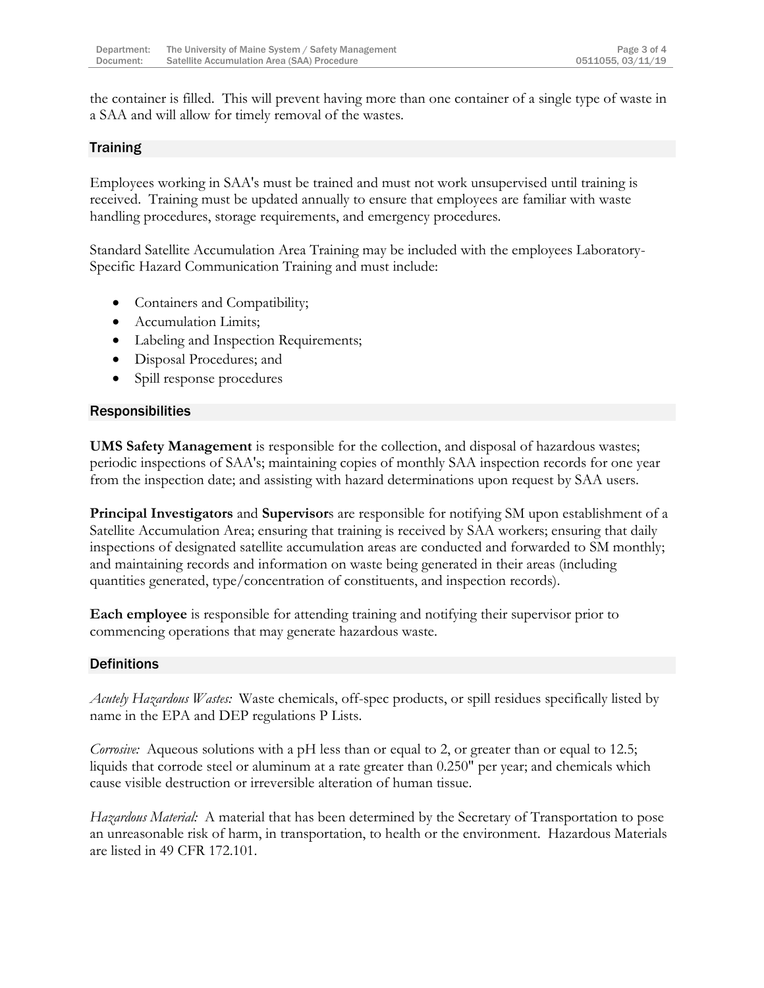the container is filled. This will prevent having more than one container of a single type of waste in a SAA and will allow for timely removal of the wastes.

## Training

Employees working in SAA's must be trained and must not work unsupervised until training is received. Training must be updated annually to ensure that employees are familiar with waste handling procedures, storage requirements, and emergency procedures.

Standard Satellite Accumulation Area Training may be included with the employees Laboratory-Specific Hazard Communication Training and must include:

- Containers and Compatibility;
- Accumulation Limits;
- Labeling and Inspection Requirements;
- Disposal Procedures; and
- Spill response procedures

## Responsibilities

**UMS Safety Management** is responsible for the collection, and disposal of hazardous wastes; periodic inspections of SAA's; maintaining copies of monthly SAA inspection records for one year from the inspection date; and assisting with hazard determinations upon request by SAA users.

**Principal Investigators** and **Supervisor**s are responsible for notifying SM upon establishment of a Satellite Accumulation Area; ensuring that training is received by SAA workers; ensuring that daily inspections of designated satellite accumulation areas are conducted and forwarded to SM monthly; and maintaining records and information on waste being generated in their areas (including quantities generated, type/concentration of constituents, and inspection records).

**Each employee** is responsible for attending training and notifying their supervisor prior to commencing operations that may generate hazardous waste.

## **Definitions**

*Acutely Hazardous Wastes:* Waste chemicals, off-spec products, or spill residues specifically listed by name in the EPA and DEP regulations P Lists.

*Corrosive:* Aqueous solutions with a pH less than or equal to 2, or greater than or equal to 12.5; liquids that corrode steel or aluminum at a rate greater than 0.250" per year; and chemicals which cause visible destruction or irreversible alteration of human tissue.

*Hazardous Material:* A material that has been determined by the Secretary of Transportation to pose an unreasonable risk of harm, in transportation, to health or the environment. Hazardous Materials are listed in 49 CFR 172.101.